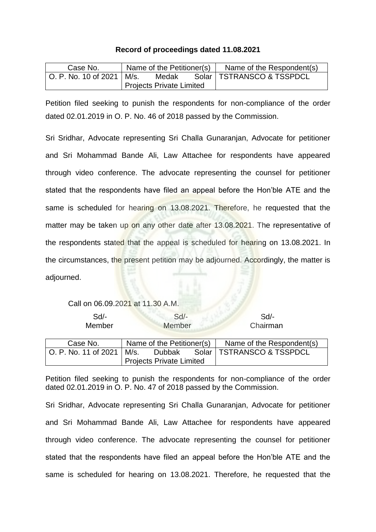## **Record of proceedings dated 11.08.2021**

| Case No.                    |                                 | Name of the Petitioner(s) | Name of the Respondent(s)   |
|-----------------------------|---------------------------------|---------------------------|-----------------------------|
| O. P. No. 10 of 2021   M/s. |                                 | Medak                     | Solar   TSTRANSCO & TSSPDCL |
|                             | <b>Projects Private Limited</b> |                           |                             |

Petition filed seeking to punish the respondents for non-compliance of the order dated 02.01.2019 in O. P. No. 46 of 2018 passed by the Commission.

Sri Sridhar, Advocate representing Sri Challa Gunaranjan, Advocate for petitioner and Sri Mohammad Bande Ali, Law Attachee for respondents have appeared through video conference. The advocate representing the counsel for petitioner stated that the respondents have filed an appeal before the Hon'ble ATE and the same is scheduled for hearing on 13.08.2021. Therefore, he requested that the matter may be taken up on any other date after 13.08.2021. The representative of the respondents stated that the appeal is scheduled for hearing on 13.08.2021. In the circumstances, the present petition may be adjourned. Accordingly, the matter is adjourned.

Call on 06.09.2021 at 11.30 A.M.

| $Sd$ -<br>Member     |                                 | $Sd$ -<br>Member          | Sd<br>Chairman              |
|----------------------|---------------------------------|---------------------------|-----------------------------|
| Case No.             |                                 | Name of the Petitioner(s) | Name of the Respondent(s)   |
| O. P. No. 11 of 2021 | l M/s.                          | Dubbak                    | Solar   TSTRANSCO & TSSPDCL |
|                      | <b>Projects Private Limited</b> |                           |                             |

Petition filed seeking to punish the respondents for non-compliance of the order dated 02.01.2019 in O. P. No. 47 of 2018 passed by the Commission.

Sri Sridhar, Advocate representing Sri Challa Gunaranjan, Advocate for petitioner and Sri Mohammad Bande Ali, Law Attachee for respondents have appeared through video conference. The advocate representing the counsel for petitioner stated that the respondents have filed an appeal before the Hon'ble ATE and the same is scheduled for hearing on 13.08.2021. Therefore, he requested that the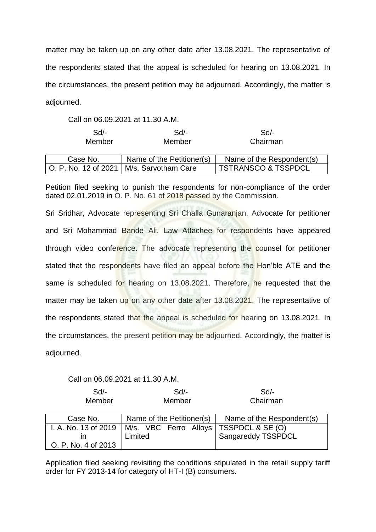matter may be taken up on any other date after 13.08.2021. The representative of the respondents stated that the appeal is scheduled for hearing on 13.08.2021. In the circumstances, the present petition may be adjourned. Accordingly, the matter is adjourned.

Call on 06.09.2021 at 11.30 A.M.

| $Sd$ -               | Sd                        | Sd/-                           |
|----------------------|---------------------------|--------------------------------|
| Member               | Member                    | Chairman                       |
|                      |                           |                                |
| Case No.             | Name of the Petitioner(s) | Name of the Respondent(s)      |
| O. P. No. 12 of 2021 | M/s. Sarvotham Care       | <b>TSTRANSCO &amp; TSSPDCL</b> |

Petition filed seeking to punish the respondents for non-compliance of the order dated 02.01.2019 in O. P. No. 61 of 2018 passed by the Commission.

Sri Sridhar, Advocate representing Sri Challa Gunaranjan, Advocate for petitioner and Sri Mohammad Bande Ali, Law Attachee for respondents have appeared through video conference. The advocate representing the counsel for petitioner stated that the respondents have filed an appeal before the Hon'ble ATE and the same is scheduled for hearing on 13.08.2021. Therefore, he requested that the matter may be taken up on any other date after 13.08.2021. The representative of the respondents stated that the appeal is scheduled for hearing on 13.08.2021. In the circumstances, the present petition may be adjourned. Accordingly, the matter is adjourned.

## Call on 06.09.2021 at 11.30 A.M.

| $Sd$ -              | Sd                                           | Sd                        |
|---------------------|----------------------------------------------|---------------------------|
| Member              | Member                                       | Chairman                  |
|                     |                                              |                           |
| Case No.            | Name of the Petitioner(s)                    | Name of the Respondent(s) |
|                     | I. A. No. 13 of 2019   M/s. VBC Ferro Alloys | TSSPDCL & SE (O)          |
|                     | Limited                                      | Sangareddy TSSPDCL        |
| O. P. No. 4 of 2013 |                                              |                           |

Application filed seeking revisiting the conditions stipulated in the retail supply tariff order for FY 2013-14 for category of HT-I (B) consumers.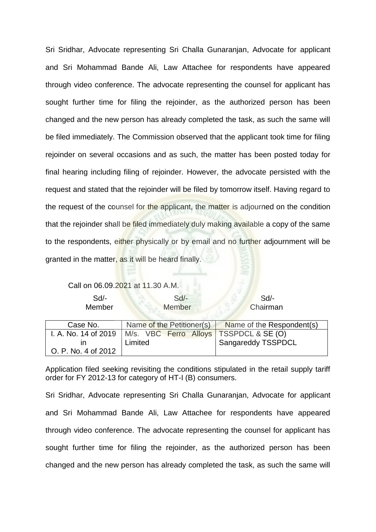Sri Sridhar, Advocate representing Sri Challa Gunaranjan, Advocate for applicant and Sri Mohammad Bande Ali, Law Attachee for respondents have appeared through video conference. The advocate representing the counsel for applicant has sought further time for filing the rejoinder, as the authorized person has been changed and the new person has already completed the task, as such the same will be filed immediately. The Commission observed that the applicant took time for filing rejoinder on several occasions and as such, the matter has been posted today for final hearing including filing of rejoinder. However, the advocate persisted with the request and stated that the rejoinder will be filed by tomorrow itself. Having regard to the request of the counsel for the applicant, the matter is adjourned on the condition that the rejoinder shall be filed immediately duly making available a copy of the same to the respondents, either physically or by email and no further adjournment will be granted in the matter, as it will be heard finally.

Call on 06.09.2021 at 11.30 A.M.

| Sd/-   | Sd/-          | Sd/-     |
|--------|---------------|----------|
| Member | <b>Member</b> | Chairman |

| Case No.            |                                                                 | Name of the Petitioner(s) Name of the Respondent(s) |
|---------------------|-----------------------------------------------------------------|-----------------------------------------------------|
|                     | I. A. No. 14 of 2019   M/s. VBC Ferro Alloys   TSSPDCL & SE (O) |                                                     |
|                     | Limited                                                         | Sangareddy TSSPDCL                                  |
| O. P. No. 4 of 2012 |                                                                 |                                                     |

Application filed seeking revisiting the conditions stipulated in the retail supply tariff order for FY 2012-13 for category of HT-I (B) consumers.

Sri Sridhar, Advocate representing Sri Challa Gunaranjan, Advocate for applicant and Sri Mohammad Bande Ali, Law Attachee for respondents have appeared through video conference. The advocate representing the counsel for applicant has sought further time for filing the rejoinder, as the authorized person has been changed and the new person has already completed the task, as such the same will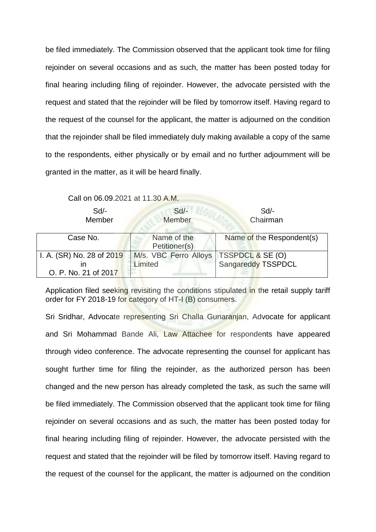be filed immediately. The Commission observed that the applicant took time for filing rejoinder on several occasions and as such, the matter has been posted today for final hearing including filing of rejoinder. However, the advocate persisted with the request and stated that the rejoinder will be filed by tomorrow itself. Having regard to the request of the counsel for the applicant, the matter is adjourned on the condition that the rejoinder shall be filed immediately duly making available a copy of the same to the respondents, either physically or by email and no further adjournment will be granted in the matter, as it will be heard finally.

Call on 06.09.2021 at 11.30 A.M.

| $Sd$ -                    | $Sd$ -                       | $Sd$ -                    |
|---------------------------|------------------------------|---------------------------|
| Member                    | Member                       | Chairman                  |
| Case No.                  | Name of the<br>Petitioner(s) | Name of the Respondent(s) |
| I. A. (SR) No. 28 of 2019 | M/s. VBC Ferro Alloys        | TSSPDCL & SE (O)          |
| ın                        | Limited                      | Sangareddy TSSPDCL        |
| O. P. No. 21 of 2017      |                              |                           |

Application filed seeking revisiting the conditions stipulated in the retail supply tariff order for FY 2018-19 for category of HT-I (B) consumers.

Sri Sridhar, Advocate representing Sri Challa Gunaranjan, Advocate for applicant and Sri Mohammad Bande Ali, Law Attachee for respondents have appeared through video conference. The advocate representing the counsel for applicant has sought further time for filing the rejoinder, as the authorized person has been changed and the new person has already completed the task, as such the same will be filed immediately. The Commission observed that the applicant took time for filing rejoinder on several occasions and as such, the matter has been posted today for final hearing including filing of rejoinder. However, the advocate persisted with the request and stated that the rejoinder will be filed by tomorrow itself. Having regard to the request of the counsel for the applicant, the matter is adjourned on the condition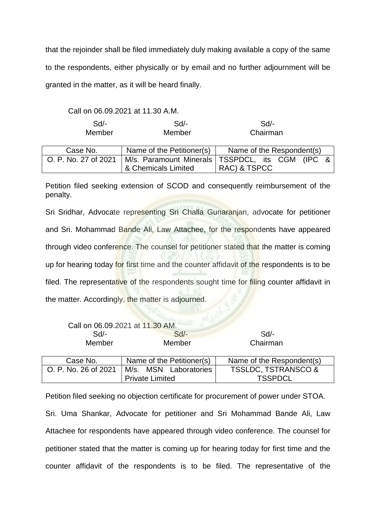that the rejoinder shall be filed immediately duly making available a copy of the same to the respondents, either physically or by email and no further adjournment will be granted in the matter, as it will be heard finally.

Call on 06.09.2021 at 11.30 A.M.

| Sd/-<br>Member       | Sd/-<br>Member            | Sd<br>Chairman                                    |
|----------------------|---------------------------|---------------------------------------------------|
| Case No.             | Name of the Petitioner(s) | Name of the Respondent(s)                         |
| O. P. No. 27 of 2021 |                           | M/s. Paramount Minerals   TSSPDCL, its CGM (IPC & |
|                      | & Chemicals Limited       | RAC) & TSPCC                                      |

Petition filed seeking extension of SCOD and consequently reimbursement of the penalty.

Sri Sridhar, Advocate representing Sri Challa Gunaranjan, advocate for petitioner and Sri. Mohammad Bande Ali, Law Attachee, for the respondents have appeared through video conference. The counsel for petitioner stated that the matter is coming up for hearing today for first time and the counter affidavit of the respondents is to be filed. The representative of the respondents sought time for filing counter affidavit in the matter. Accordingly, the matter is adjourned.

|                      | Call on 06.09.2021 at 11.30 AM. |                                |
|----------------------|---------------------------------|--------------------------------|
| $Sd$ -               | $Sd$ -                          | $Sd$ -                         |
| Member               | Member                          | Chairman                       |
|                      |                                 |                                |
| Case No.             | Name of the Petitioner(s)       | Name of the Respondent(s)      |
| O. P. No. 26 of 2021 | M/s. MSN Laboratories           | <b>TSSLDC, TSTRANSCO &amp;</b> |
|                      | <b>Private Limited</b>          | <b>TSSPDCL</b>                 |

Petition filed seeking no objection certificate for procurement of power under STOA. Sri. Uma Shankar, Advocate for petitioner and Sri Mohammad Bande Ali, Law Attachee for respondents have appeared through video conference. The counsel for petitioner stated that the matter is coming up for hearing today for first time and the counter affidavit of the respondents is to be filed. The representative of the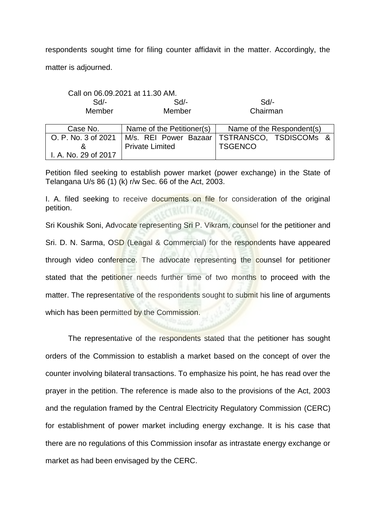respondents sought time for filing counter affidavit in the matter. Accordingly, the matter is adjourned.

|                      | Call on 06.09.2021 at 11.30 AM. |                           |  |
|----------------------|---------------------------------|---------------------------|--|
| Sd                   | Sd                              | Sd/-                      |  |
| Member<br>Member     |                                 | Chairman                  |  |
|                      |                                 |                           |  |
| Case No.             | Name of the Petitioner(s)       | Name of the Respondent(s) |  |
| O. P. No. 3 of 2021  | M/s. REI Power Bazaar           | TSTRANSCO, TSDISCOMs &    |  |
| &                    | <b>Private Limited</b>          | <b>TSGENCO</b>            |  |
| I. A. No. 29 of 2017 |                                 |                           |  |

Petition filed seeking to establish power market (power exchange) in the State of Telangana U/s 86 (1) (k) r/w Sec. 66 of the Act, 2003.

I. A. filed seeking to receive documents on file for consideration of the original petition.

Sri Koushik Soni, Advocate representing Sri P. Vikram, counsel for the petitioner and Sri. D. N. Sarma, OSD (Leagal & Commercial) for the respondents have appeared through video conference. The advocate representing the counsel for petitioner stated that the petitioner needs further time of two months to proceed with the matter. The representative of the respondents sought to submit his line of arguments which has been permitted by the Commission.

The representative of the respondents stated that the petitioner has sought orders of the Commission to establish a market based on the concept of over the counter involving bilateral transactions. To emphasize his point, he has read over the prayer in the petition. The reference is made also to the provisions of the Act, 2003 and the regulation framed by the Central Electricity Regulatory Commission (CERC) for establishment of power market including energy exchange. It is his case that there are no regulations of this Commission insofar as intrastate energy exchange or market as had been envisaged by the CERC.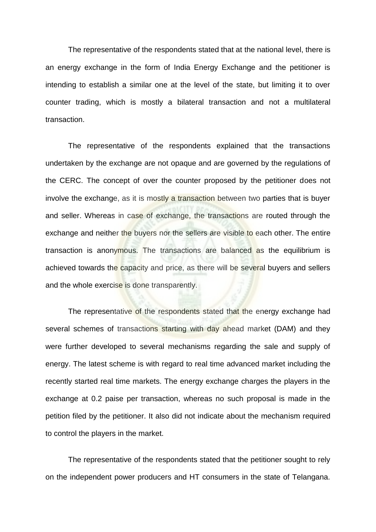The representative of the respondents stated that at the national level, there is an energy exchange in the form of India Energy Exchange and the petitioner is intending to establish a similar one at the level of the state, but limiting it to over counter trading, which is mostly a bilateral transaction and not a multilateral transaction.

The representative of the respondents explained that the transactions undertaken by the exchange are not opaque and are governed by the regulations of the CERC. The concept of over the counter proposed by the petitioner does not involve the exchange, as it is mostly a transaction between two parties that is buyer and seller. Whereas in case of exchange, the transactions are routed through the exchange and neither the buyers nor the sellers are visible to each other. The entire transaction is anonymous. The transactions are balanced as the equilibrium is achieved towards the capacity and price, as there will be several buyers and sellers and the whole exercise is done transparently.

The representative of the respondents stated that the energy exchange had several schemes of transactions starting with day ahead market (DAM) and they were further developed to several mechanisms regarding the sale and supply of energy. The latest scheme is with regard to real time advanced market including the recently started real time markets. The energy exchange charges the players in the exchange at 0.2 paise per transaction, whereas no such proposal is made in the petition filed by the petitioner. It also did not indicate about the mechanism required to control the players in the market.

The representative of the respondents stated that the petitioner sought to rely on the independent power producers and HT consumers in the state of Telangana.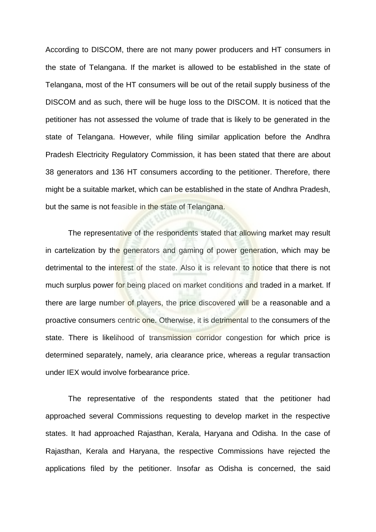According to DISCOM, there are not many power producers and HT consumers in the state of Telangana. If the market is allowed to be established in the state of Telangana, most of the HT consumers will be out of the retail supply business of the DISCOM and as such, there will be huge loss to the DISCOM. It is noticed that the petitioner has not assessed the volume of trade that is likely to be generated in the state of Telangana. However, while filing similar application before the Andhra Pradesh Electricity Regulatory Commission, it has been stated that there are about 38 generators and 136 HT consumers according to the petitioner. Therefore, there might be a suitable market, which can be established in the state of Andhra Pradesh, but the same is not feasible in the state of Telangana.

The representative of the respondents stated that allowing market may result in cartelization by the generators and gaming of power generation, which may be detrimental to the interest of the state. Also it is relevant to notice that there is not much surplus power for being placed on market conditions and traded in a market. If there are large number of players, the price discovered will be a reasonable and a proactive consumers centric one. Otherwise, it is detrimental to the consumers of the state. There is likelihood of transmission corridor congestion for which price is determined separately, namely, aria clearance price, whereas a regular transaction under IEX would involve forbearance price.

The representative of the respondents stated that the petitioner had approached several Commissions requesting to develop market in the respective states. It had approached Rajasthan, Kerala, Haryana and Odisha. In the case of Rajasthan, Kerala and Haryana, the respective Commissions have rejected the applications filed by the petitioner. Insofar as Odisha is concerned, the said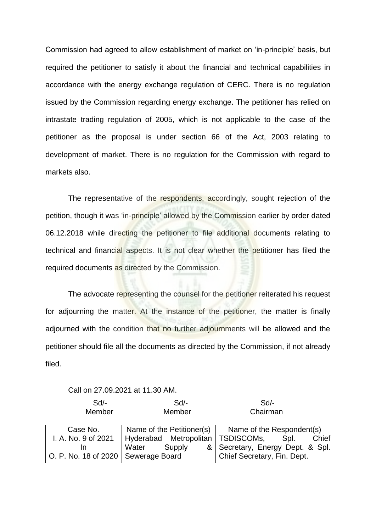Commission had agreed to allow establishment of market on 'in-principle' basis, but required the petitioner to satisfy it about the financial and technical capabilities in accordance with the energy exchange regulation of CERC. There is no regulation issued by the Commission regarding energy exchange. The petitioner has relied on intrastate trading regulation of 2005, which is not applicable to the case of the petitioner as the proposal is under section 66 of the Act, 2003 relating to development of market. There is no regulation for the Commission with regard to markets also.

The representative of the respondents, accordingly, sought rejection of the petition, though it was 'in-principle' allowed by the Commission earlier by order dated 06.12.2018 while directing the petitioner to file additional documents relating to technical and financial aspects. It is not clear whether the petitioner has filed the required documents as directed by the Commission.

The advocate representing the counsel for the petitioner reiterated his request for adjourning the matter. At the instance of the petitioner, the matter is finally adjourned with the condition that no further adjournments will be allowed and the petitioner should file all the documents as directed by the Commission, if not already filed.

Call on 27.09.2021 at 11.30 AM.

| $Sd$ -<br>Member                    | Sd<br>Member                      | Sd<br>Chairman                   |
|-------------------------------------|-----------------------------------|----------------------------------|
| Case No.                            | Name of the Petitioner(s)         | Name of the Respondent(s)        |
| I. A. No. 9 of 2021                 | Hyderabad Metropolitan TSDISCOMs, | Chief<br>Spl.                    |
| In                                  | Supply<br>Water                   | & Secretary, Energy Dept. & Spl. |
| O. P. No. 18 of 2020 Sewerage Board |                                   | Chief Secretary, Fin. Dept.      |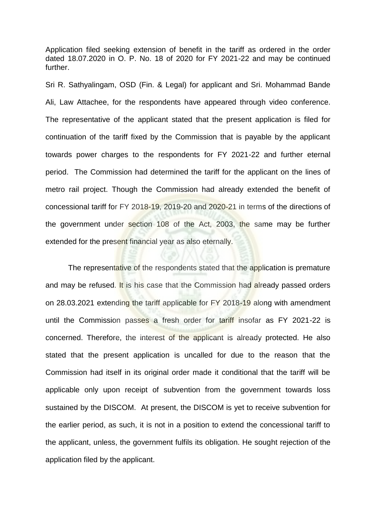Application filed seeking extension of benefit in the tariff as ordered in the order dated 18.07.2020 in O. P. No. 18 of 2020 for FY 2021-22 and may be continued further.

Sri R. Sathyalingam, OSD (Fin. & Legal) for applicant and Sri. Mohammad Bande Ali, Law Attachee, for the respondents have appeared through video conference. The representative of the applicant stated that the present application is filed for continuation of the tariff fixed by the Commission that is payable by the applicant towards power charges to the respondents for FY 2021-22 and further eternal period. The Commission had determined the tariff for the applicant on the lines of metro rail project. Though the Commission had already extended the benefit of concessional tariff for FY 2018-19, 2019-20 and 2020-21 in terms of the directions of the government under section 108 of the Act, 2003, the same may be further extended for the present financial year as also eternally.

The representative of the respondents stated that the application is premature and may be refused. It is his case that the Commission had already passed orders on 28.03.2021 extending the tariff applicable for FY 2018-19 along with amendment until the Commission passes a fresh order for tariff insofar as FY 2021-22 is concerned. Therefore, the interest of the applicant is already protected. He also stated that the present application is uncalled for due to the reason that the Commission had itself in its original order made it conditional that the tariff will be applicable only upon receipt of subvention from the government towards loss sustained by the DISCOM. At present, the DISCOM is yet to receive subvention for the earlier period, as such, it is not in a position to extend the concessional tariff to the applicant, unless, the government fulfils its obligation. He sought rejection of the application filed by the applicant.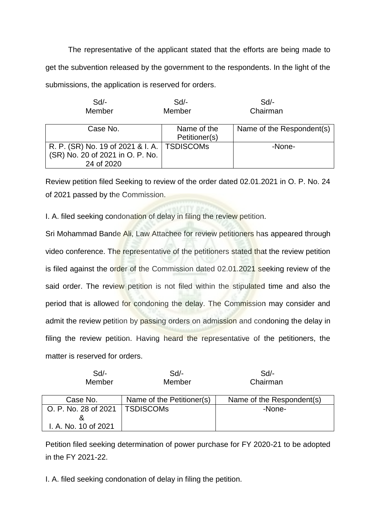The representative of the applicant stated that the efforts are being made to get the subvention released by the government to the respondents. In the light of the submissions, the application is reserved for orders.

| $Sd$ -                                        | $Sd$ -        | $Sd$ -                    |
|-----------------------------------------------|---------------|---------------------------|
| Member                                        | Member        | Chairman                  |
|                                               |               |                           |
| Case No.                                      | Name of the   | Name of the Respondent(s) |
|                                               | Petitioner(s) |                           |
| R. P. (SR) No. 19 of 2021 & I. A.   TSDISCOMs |               | -None-                    |
| (SR) No. 20 of 2021 in O. P. No.              |               |                           |
| 24 of 2020                                    |               |                           |

Review petition filed Seeking to review of the order dated 02.01.2021 in O. P. No. 24 of 2021 passed by the Commission.

I. A. filed seeking condonation of delay in filing the review petition.

Sri Mohammad Bande Ali, Law Attachee for review petitioners has appeared through video conference. The representative of the petitioners stated that the review petition is filed against the order of the Commission dated 02.01.2021 seeking review of the said order. The review petition is not filed within the stipulated time and also the period that is allowed for condoning the delay. The Commission may consider and admit the review petition by passing orders on admission and condoning the delay in filing the review petition. Having heard the representative of the petitioners, the matter is reserved for orders.

| $Sd$ -<br>Member     | $Sd$ -<br>Member          | Sd<br>Chairman            |
|----------------------|---------------------------|---------------------------|
| Case No.             | Name of the Petitioner(s) | Name of the Respondent(s) |
| O. P. No. 28 of 2021 | <b>TSDISCOMS</b>          | -None-                    |
|                      |                           |                           |
| I. A. No. 10 of 2021 |                           |                           |

Petition filed seeking determination of power purchase for FY 2020-21 to be adopted in the FY 2021-22.

I. A. filed seeking condonation of delay in filing the petition.